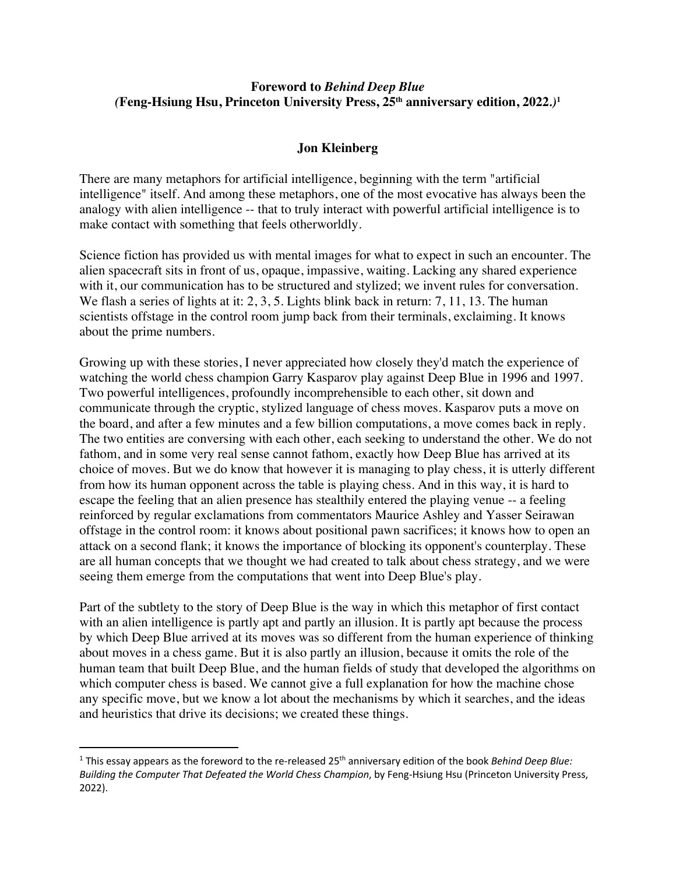## **Foreword to** *Behind Deep Blue (***Feng-Hsiung Hsu, Princeton University Press, 25th anniversary edition, 2022***.)***<sup>1</sup>**

## **Jon Kleinberg**

There are many metaphors for artificial intelligence, beginning with the term "artificial intelligence" itself. And among these metaphors, one of the most evocative has always been the analogy with alien intelligence -- that to truly interact with powerful artificial intelligence is to make contact with something that feels otherworldly.

Science fiction has provided us with mental images for what to expect in such an encounter. The alien spacecraft sits in front of us, opaque, impassive, waiting. Lacking any shared experience with it, our communication has to be structured and stylized; we invent rules for conversation. We flash a series of lights at it: 2, 3, 5. Lights blink back in return: 7, 11, 13. The human scientists offstage in the control room jump back from their terminals, exclaiming. It knows about the prime numbers.

Growing up with these stories, I never appreciated how closely they'd match the experience of watching the world chess champion Garry Kasparov play against Deep Blue in 1996 and 1997. Two powerful intelligences, profoundly incomprehensible to each other, sit down and communicate through the cryptic, stylized language of chess moves. Kasparov puts a move on the board, and after a few minutes and a few billion computations, a move comes back in reply. The two entities are conversing with each other, each seeking to understand the other. We do not fathom, and in some very real sense cannot fathom, exactly how Deep Blue has arrived at its choice of moves. But we do know that however it is managing to play chess, it is utterly different from how its human opponent across the table is playing chess. And in this way, it is hard to escape the feeling that an alien presence has stealthily entered the playing venue -- a feeling reinforced by regular exclamations from commentators Maurice Ashley and Yasser Seirawan offstage in the control room: it knows about positional pawn sacrifices; it knows how to open an attack on a second flank; it knows the importance of blocking its opponent's counterplay. These are all human concepts that we thought we had created to talk about chess strategy, and we were seeing them emerge from the computations that went into Deep Blue's play.

Part of the subtlety to the story of Deep Blue is the way in which this metaphor of first contact with an alien intelligence is partly apt and partly an illusion. It is partly apt because the process by which Deep Blue arrived at its moves was so different from the human experience of thinking about moves in a chess game. But it is also partly an illusion, because it omits the role of the human team that built Deep Blue, and the human fields of study that developed the algorithms on which computer chess is based. We cannot give a full explanation for how the machine chose any specific move, but we know a lot about the mechanisms by which it searches, and the ideas and heuristics that drive its decisions; we created these things.

<sup>1</sup> This essay appears as the foreword to the re-released 25th anniversary edition of the book *Behind Deep Blue: Building the Computer That Defeated the World Chess Champion*, by Feng-Hsiung Hsu (Princeton University Press, 2022).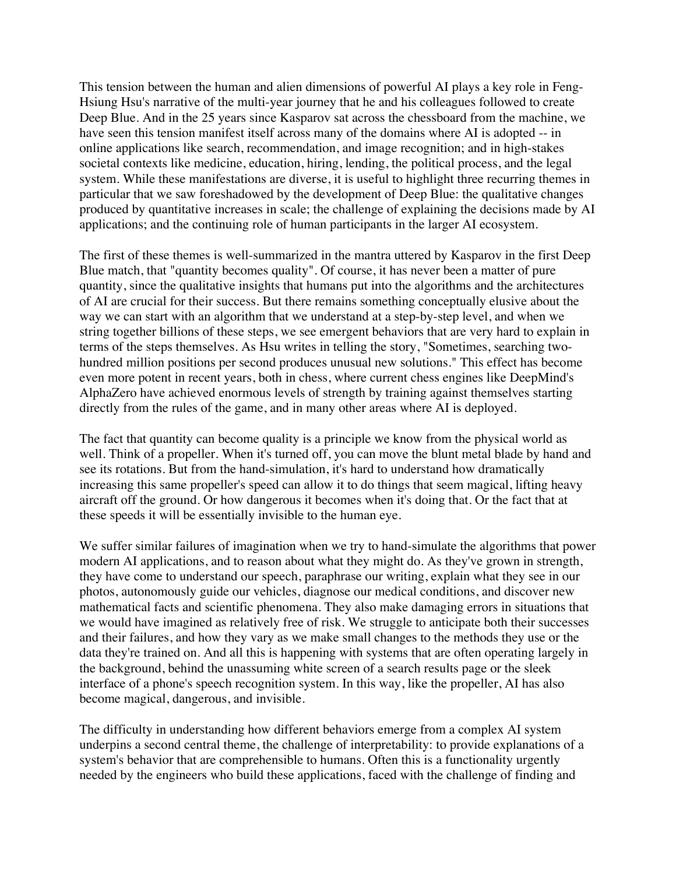This tension between the human and alien dimensions of powerful AI plays a key role in Feng-Hsiung Hsu's narrative of the multi-year journey that he and his colleagues followed to create Deep Blue. And in the 25 years since Kasparov sat across the chessboard from the machine, we have seen this tension manifest itself across many of the domains where AI is adopted -- in online applications like search, recommendation, and image recognition; and in high-stakes societal contexts like medicine, education, hiring, lending, the political process, and the legal system. While these manifestations are diverse, it is useful to highlight three recurring themes in particular that we saw foreshadowed by the development of Deep Blue: the qualitative changes produced by quantitative increases in scale; the challenge of explaining the decisions made by AI applications; and the continuing role of human participants in the larger AI ecosystem.

The first of these themes is well-summarized in the mantra uttered by Kasparov in the first Deep Blue match, that "quantity becomes quality". Of course, it has never been a matter of pure quantity, since the qualitative insights that humans put into the algorithms and the architectures of AI are crucial for their success. But there remains something conceptually elusive about the way we can start with an algorithm that we understand at a step-by-step level, and when we string together billions of these steps, we see emergent behaviors that are very hard to explain in terms of the steps themselves. As Hsu writes in telling the story, "Sometimes, searching twohundred million positions per second produces unusual new solutions." This effect has become even more potent in recent years, both in chess, where current chess engines like DeepMind's AlphaZero have achieved enormous levels of strength by training against themselves starting directly from the rules of the game, and in many other areas where AI is deployed.

The fact that quantity can become quality is a principle we know from the physical world as well. Think of a propeller. When it's turned off, you can move the blunt metal blade by hand and see its rotations. But from the hand-simulation, it's hard to understand how dramatically increasing this same propeller's speed can allow it to do things that seem magical, lifting heavy aircraft off the ground. Or how dangerous it becomes when it's doing that. Or the fact that at these speeds it will be essentially invisible to the human eye.

We suffer similar failures of imagination when we try to hand-simulate the algorithms that power modern AI applications, and to reason about what they might do. As they've grown in strength, they have come to understand our speech, paraphrase our writing, explain what they see in our photos, autonomously guide our vehicles, diagnose our medical conditions, and discover new mathematical facts and scientific phenomena. They also make damaging errors in situations that we would have imagined as relatively free of risk. We struggle to anticipate both their successes and their failures, and how they vary as we make small changes to the methods they use or the data they're trained on. And all this is happening with systems that are often operating largely in the background, behind the unassuming white screen of a search results page or the sleek interface of a phone's speech recognition system. In this way, like the propeller, AI has also become magical, dangerous, and invisible.

The difficulty in understanding how different behaviors emerge from a complex AI system underpins a second central theme, the challenge of interpretability: to provide explanations of a system's behavior that are comprehensible to humans. Often this is a functionality urgently needed by the engineers who build these applications, faced with the challenge of finding and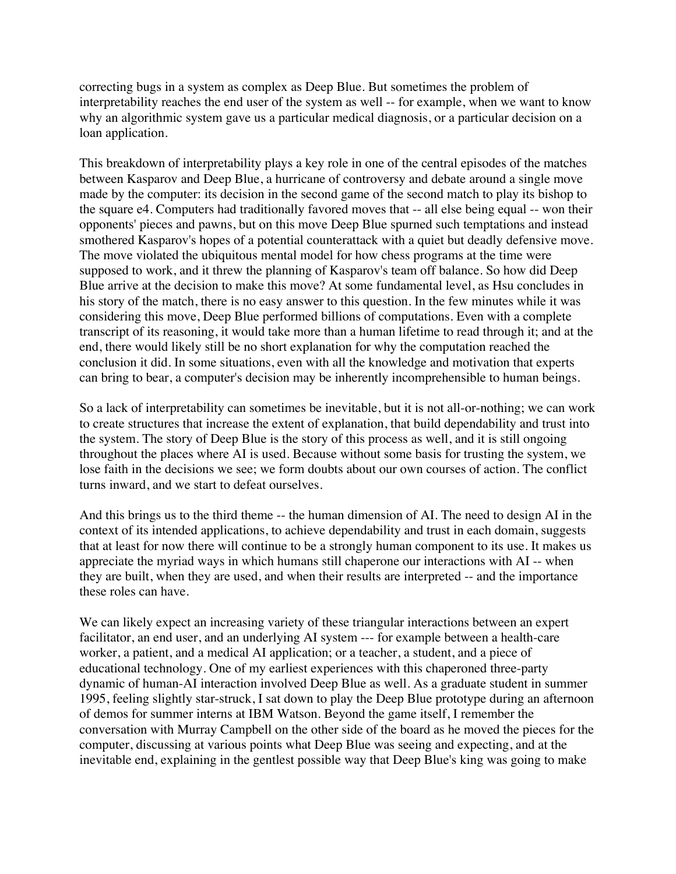correcting bugs in a system as complex as Deep Blue. But sometimes the problem of interpretability reaches the end user of the system as well -- for example, when we want to know why an algorithmic system gave us a particular medical diagnosis, or a particular decision on a loan application.

This breakdown of interpretability plays a key role in one of the central episodes of the matches between Kasparov and Deep Blue, a hurricane of controversy and debate around a single move made by the computer: its decision in the second game of the second match to play its bishop to the square e4. Computers had traditionally favored moves that -- all else being equal -- won their opponents' pieces and pawns, but on this move Deep Blue spurned such temptations and instead smothered Kasparov's hopes of a potential counterattack with a quiet but deadly defensive move. The move violated the ubiquitous mental model for how chess programs at the time were supposed to work, and it threw the planning of Kasparov's team off balance. So how did Deep Blue arrive at the decision to make this move? At some fundamental level, as Hsu concludes in his story of the match, there is no easy answer to this question. In the few minutes while it was considering this move, Deep Blue performed billions of computations. Even with a complete transcript of its reasoning, it would take more than a human lifetime to read through it; and at the end, there would likely still be no short explanation for why the computation reached the conclusion it did. In some situations, even with all the knowledge and motivation that experts can bring to bear, a computer's decision may be inherently incomprehensible to human beings.

So a lack of interpretability can sometimes be inevitable, but it is not all-or-nothing; we can work to create structures that increase the extent of explanation, that build dependability and trust into the system. The story of Deep Blue is the story of this process as well, and it is still ongoing throughout the places where AI is used. Because without some basis for trusting the system, we lose faith in the decisions we see; we form doubts about our own courses of action. The conflict turns inward, and we start to defeat ourselves.

And this brings us to the third theme -- the human dimension of AI. The need to design AI in the context of its intended applications, to achieve dependability and trust in each domain, suggests that at least for now there will continue to be a strongly human component to its use. It makes us appreciate the myriad ways in which humans still chaperone our interactions with AI -- when they are built, when they are used, and when their results are interpreted -- and the importance these roles can have.

We can likely expect an increasing variety of these triangular interactions between an expert facilitator, an end user, and an underlying AI system --- for example between a health-care worker, a patient, and a medical AI application; or a teacher, a student, and a piece of educational technology. One of my earliest experiences with this chaperoned three-party dynamic of human-AI interaction involved Deep Blue as well. As a graduate student in summer 1995, feeling slightly star-struck, I sat down to play the Deep Blue prototype during an afternoon of demos for summer interns at IBM Watson. Beyond the game itself, I remember the conversation with Murray Campbell on the other side of the board as he moved the pieces for the computer, discussing at various points what Deep Blue was seeing and expecting, and at the inevitable end, explaining in the gentlest possible way that Deep Blue's king was going to make